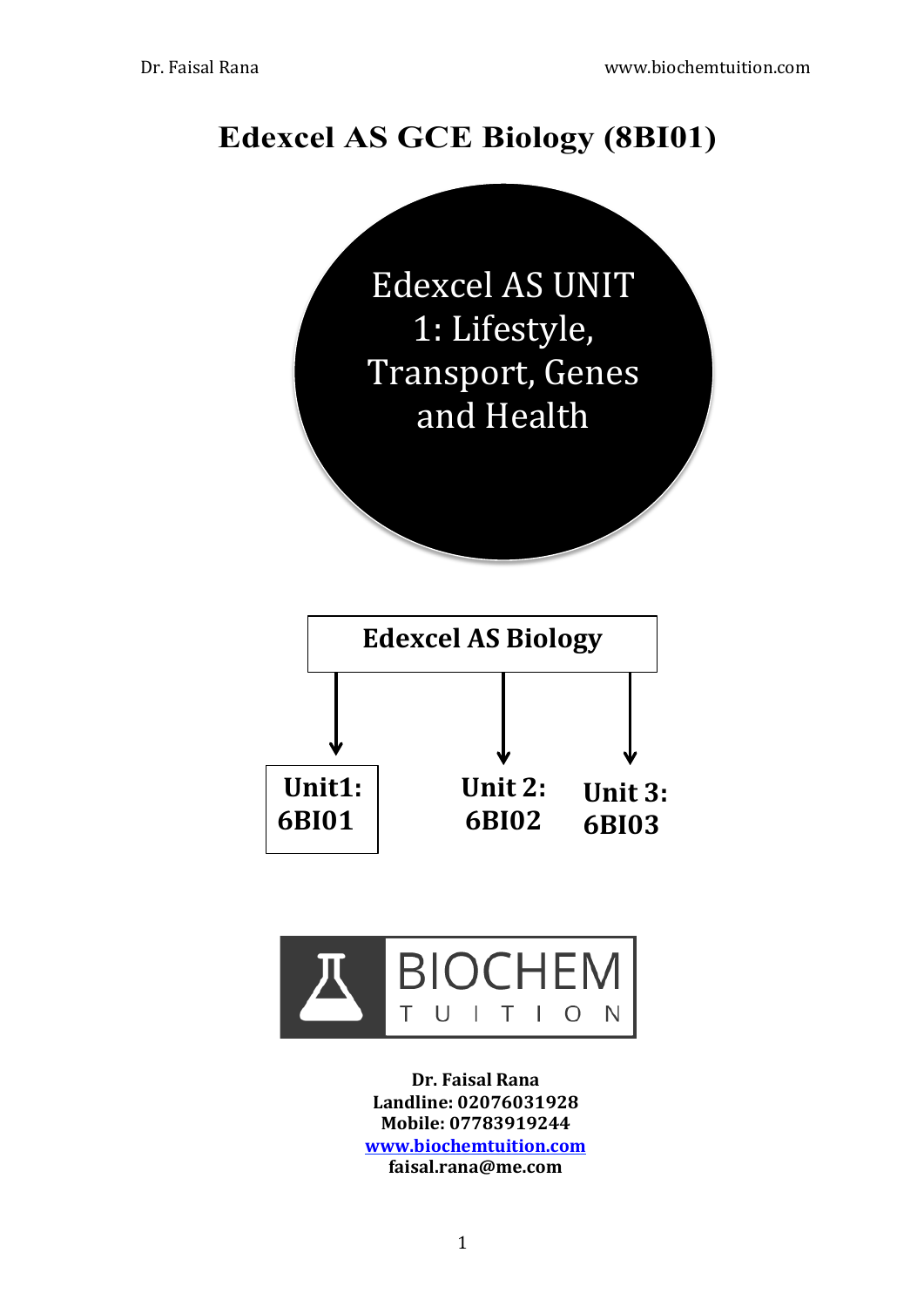# **Edexcel AS GCE Biology (8BI01)**





**Dr.!Faisal!Rana** Landline: 02076031928 **Mobile:!07783919244 www.biochemtuition.com faisal.rana@me.com**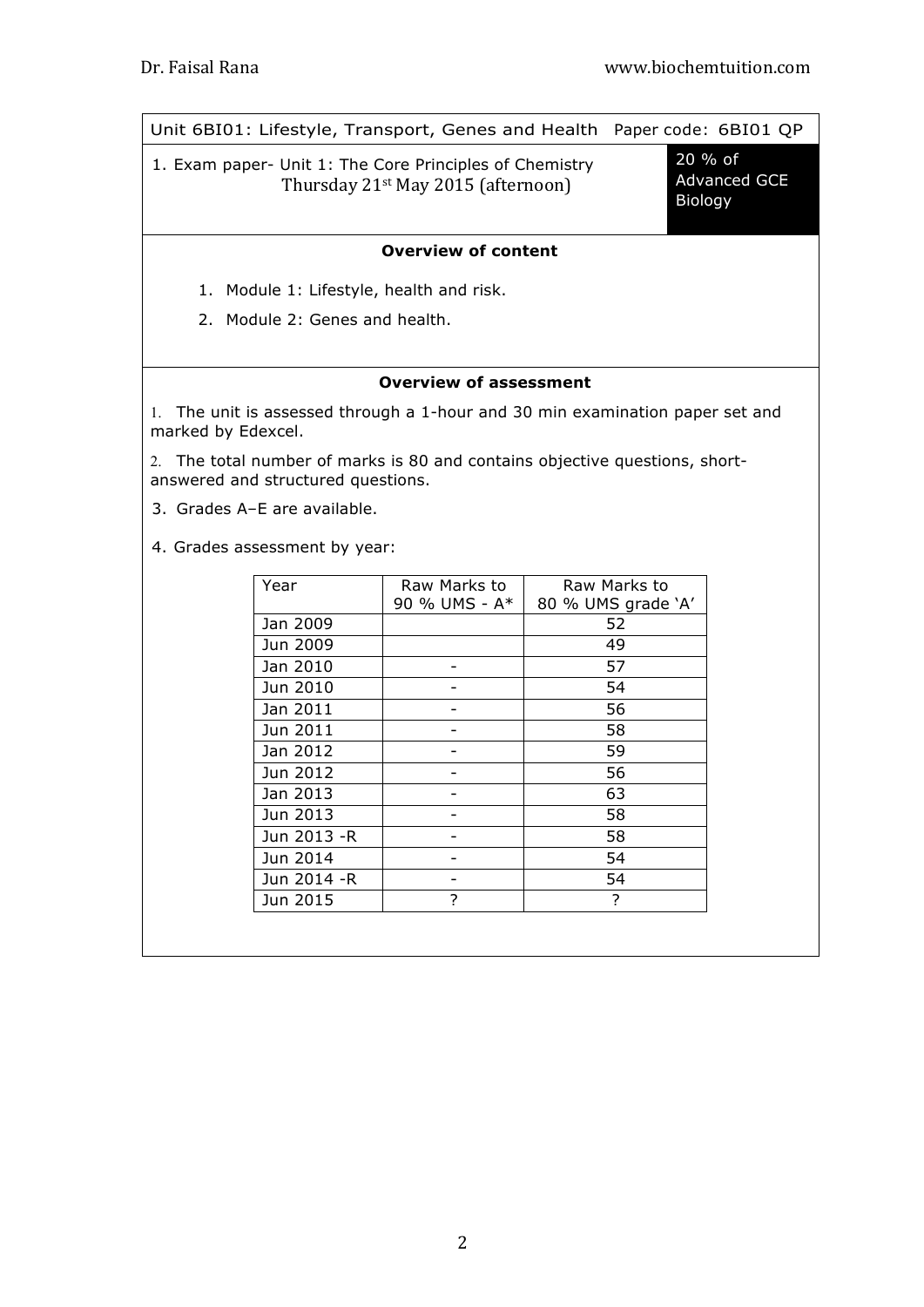|--|

1. Exam paper- Unit 1: The Core Principles of Chemistry Thursday  $21^{st}$  May 2015 (afternoon)

20 % of Advanced GCE Biology

#### **Overview of content**

- 1. Module 1: Lifestyle, health and risk.
- 2. Module 2: Genes and health.

#### **Overview of assessment**

1. The unit is assessed through a 1-hour and 30 min examination paper set and marked by Edexcel.

2. The total number of marks is 80 and contains objective questions, shortanswered and structured questions.

3. Grades A–E are available.

4. Grades assessment by year:

| Year         | Raw Marks to  | Raw Marks to       |
|--------------|---------------|--------------------|
|              | 90 % UMS - A* | 80 % UMS grade 'A' |
| Jan 2009     |               | 52                 |
| Jun 2009     |               | 49                 |
| Jan 2010     |               | 57                 |
| Jun 2010     |               | 54                 |
| Jan 2011     |               | 56                 |
| Jun 2011     |               | 58                 |
| Jan 2012     |               | 59                 |
| Jun 2012     |               | 56                 |
| Jan 2013     |               | 63                 |
| Jun 2013     |               | 58                 |
| Jun 2013 - R |               | 58                 |
| Jun 2014     |               | 54                 |
| Jun 2014 -R  |               | 54                 |
| Jun 2015     | 7             | 7                  |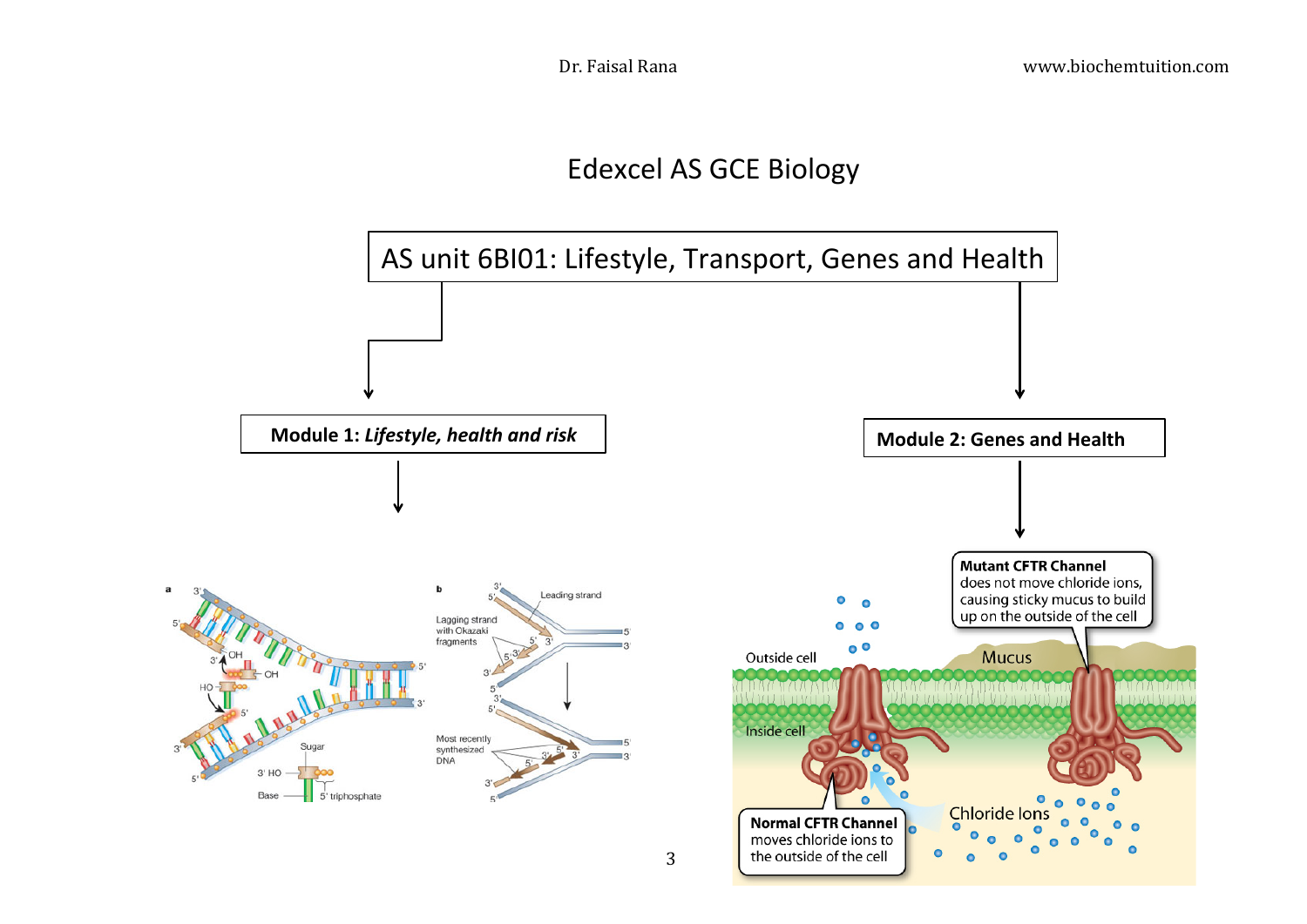

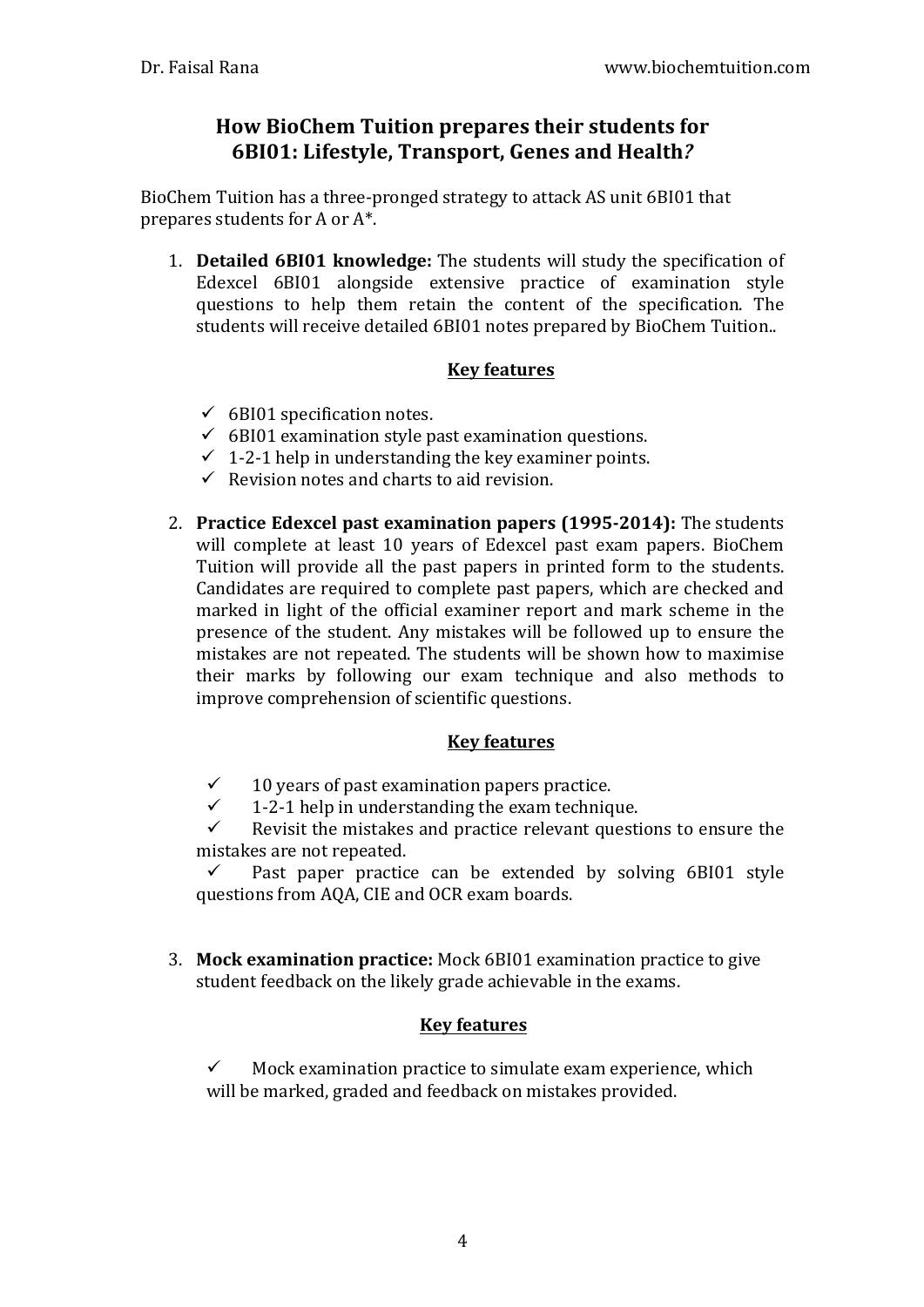## **How BioChem Tuition prepares their students for 6BI01: Lifestyle, Transport, Genes and Health?**

BioChem Tuition has a three-pronged strategy to attack AS unit 6BI01 that prepares students for A or  $A^*$ .

1. **Detailed 6BI01 knowledge:** The students will study the specification of Edexcel  $6B101$  alongside extensive practice of examination style questions to help them retain the content of the specification. The students will receive detailed 6BI01 notes prepared by BioChem Tuition..

### **Key features**

- $\checkmark$  6BI01 specification notes.
- $\checkmark$  6BI01 examination style past examination questions.
- $\checkmark$  1-2-1 help in understanding the key examiner points.
- $\checkmark$  Revision notes and charts to aid revision.
- 2. **Practice Edexcel past examination papers (1995-2014):** The students will complete at least 10 years of Edexcel past exam papers. BioChem Tuition will provide all the past papers in printed form to the students. Candidates are required to complete past papers, which are checked and marked in light of the official examiner report and mark scheme in the presence of the student. Any mistakes will be followed up to ensure the mistakes are not repeated. The students will be shown how to maximise their marks by following our exam technique and also methods to improve comprehension of scientific questions.

#### **Key features**

- $\checkmark$  10 years of past examination papers practice.
- $\checkmark$  1-2-1 help in understanding the exam technique.<br> $\checkmark$  Revisit the mistakes and practice relevant questi

Revisit the mistakes and practice relevant questions to ensure the mistakes are not repeated.

 $\checkmark$  Past paper practice can be extended by solving 6BI01 style questions from AQA, CIE and OCR exam boards.

3. **Mock examination practice:** Mock 6BI01 examination practice to give student feedback on the likely grade achievable in the exams.

### **Key features**

 $\checkmark$  Mock examination practice to simulate exam experience, which will be marked, graded and feedback on mistakes provided.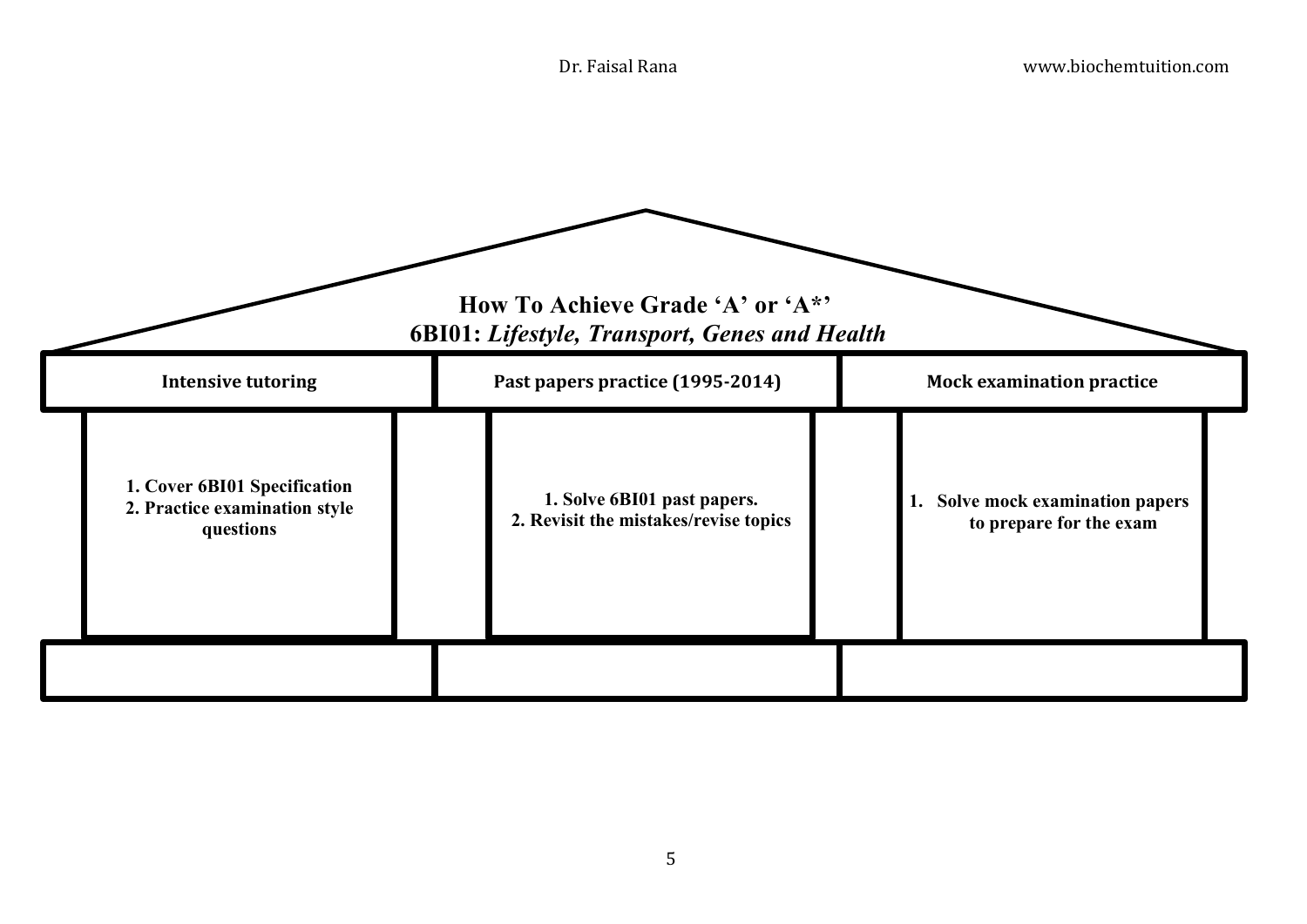|                                                                            | How To Achieve Grade 'A' or 'A*'<br><b>6BI01: Lifestyle, Transport, Genes and Health</b> |                                                             |
|----------------------------------------------------------------------------|------------------------------------------------------------------------------------------|-------------------------------------------------------------|
| <b>Intensive tutoring</b>                                                  | Past papers practice (1995-2014)                                                         | <b>Mock examination practice</b>                            |
| 1. Cover 6BI01 Specification<br>2. Practice examination style<br>questions | 1. Solve 6BI01 past papers.<br>2. Revisit the mistakes/revise topics                     | 1. Solve mock examination papers<br>to prepare for the exam |
|                                                                            |                                                                                          |                                                             |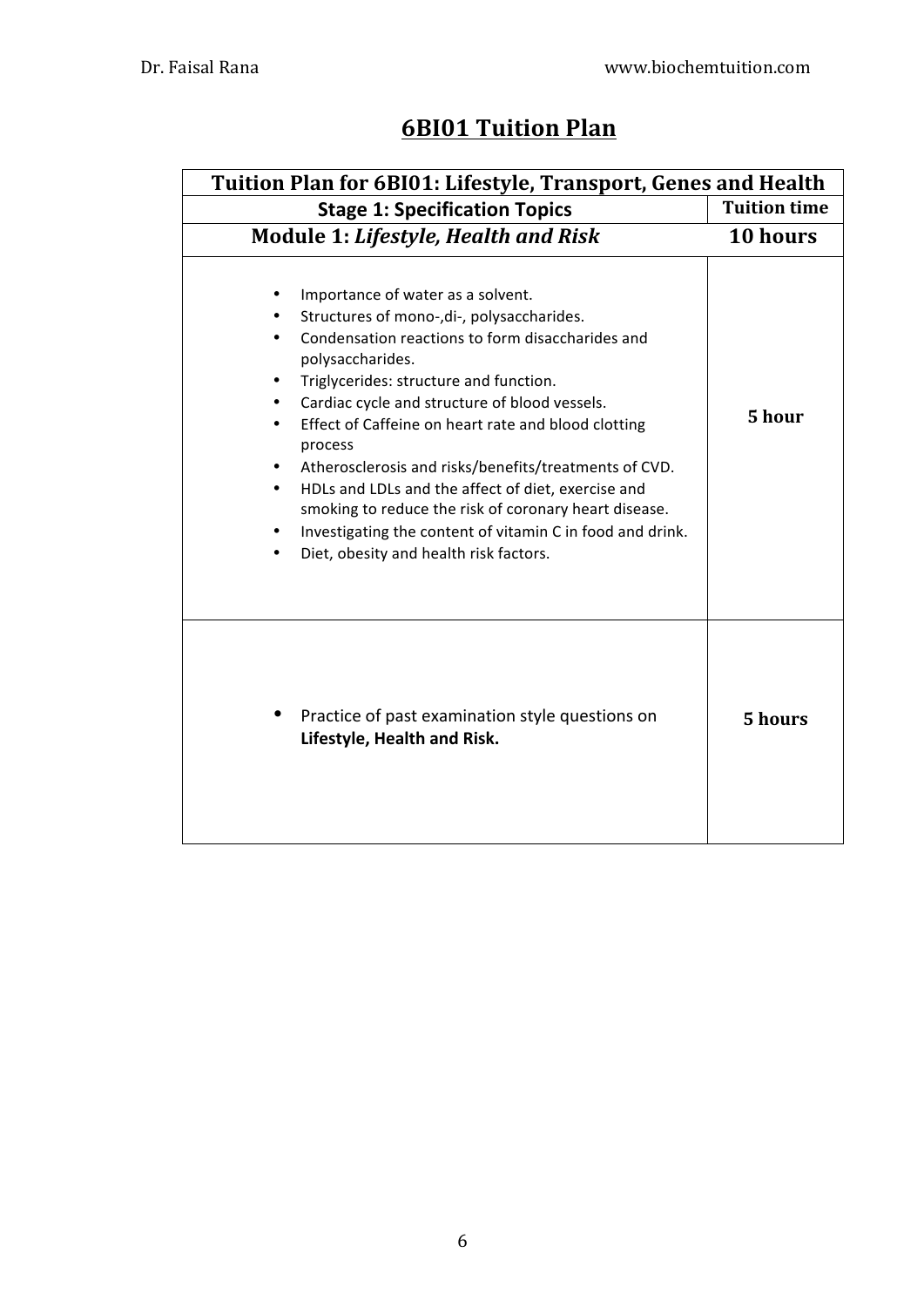# **6BI01 Tuition Plan**

| Tuition Plan for 6BI01: Lifestyle, Transport, Genes and Health                                                                                                                                                                                                                                                                                                                                                                                                                                                                                                                                                   |                     |  |
|------------------------------------------------------------------------------------------------------------------------------------------------------------------------------------------------------------------------------------------------------------------------------------------------------------------------------------------------------------------------------------------------------------------------------------------------------------------------------------------------------------------------------------------------------------------------------------------------------------------|---------------------|--|
| <b>Stage 1: Specification Topics</b>                                                                                                                                                                                                                                                                                                                                                                                                                                                                                                                                                                             | <b>Tuition time</b> |  |
| <b>Module 1: Lifestyle, Health and Risk</b>                                                                                                                                                                                                                                                                                                                                                                                                                                                                                                                                                                      | 10 hours            |  |
| Importance of water as a solvent.<br>Structures of mono-, di-, polysaccharides.<br>Condensation reactions to form disaccharides and<br>polysaccharides.<br>Triglycerides: structure and function.<br>Cardiac cycle and structure of blood vessels.<br>$\bullet$<br>Effect of Caffeine on heart rate and blood clotting<br>process<br>Atherosclerosis and risks/benefits/treatments of CVD.<br>HDLs and LDLs and the affect of diet, exercise and<br>smoking to reduce the risk of coronary heart disease.<br>Investigating the content of vitamin C in food and drink.<br>Diet, obesity and health risk factors. | 5 hour              |  |
| Practice of past examination style questions on<br>Lifestyle, Health and Risk.                                                                                                                                                                                                                                                                                                                                                                                                                                                                                                                                   | 5 hours             |  |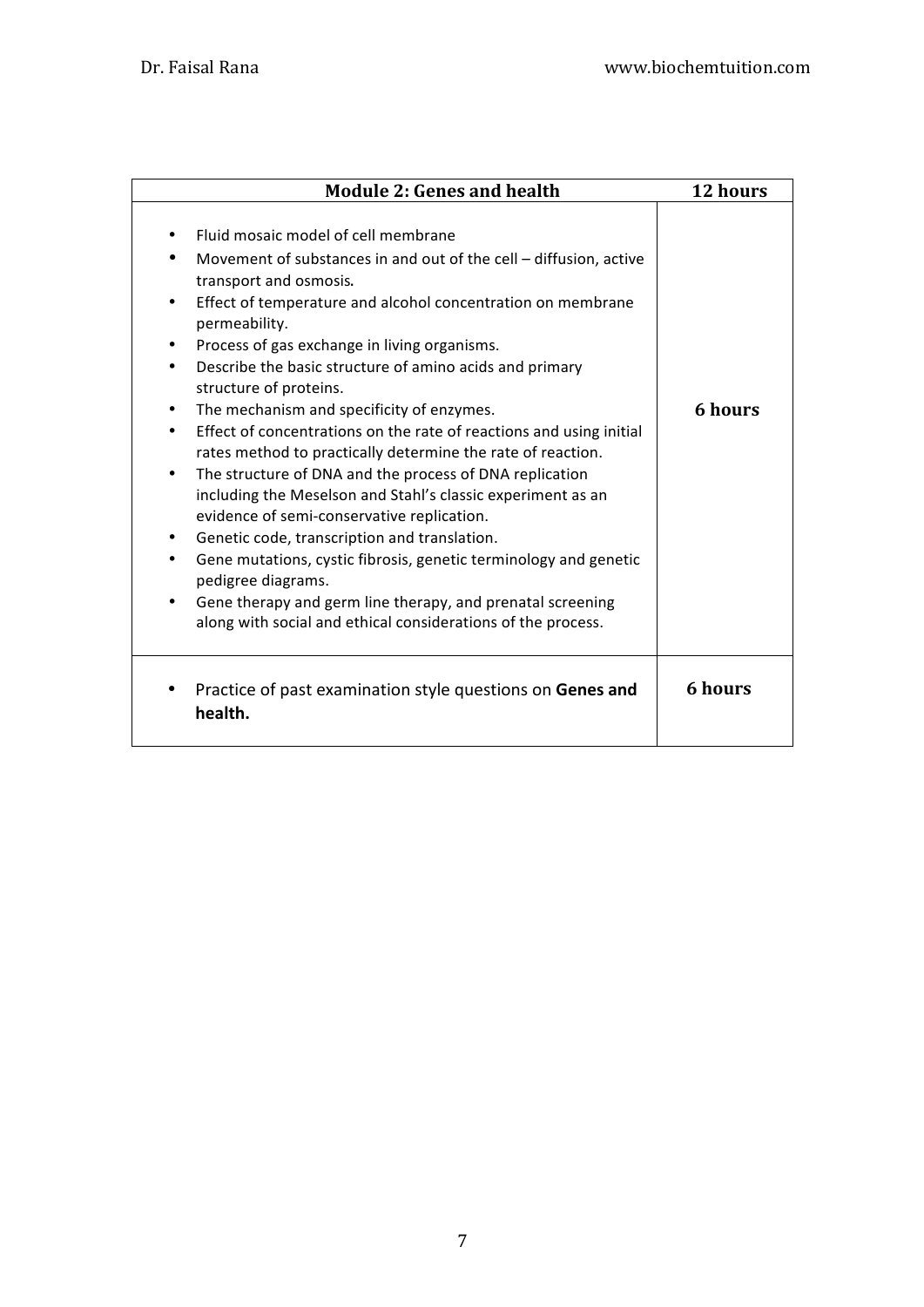| <b>Module 2: Genes and health</b>                                                                                                                                                                                                                                                                                                                                                                                                                                                                                                                                                                                                                                                                                                                                                                                                                                                                                                                                                                                                                     | 12 hours       |
|-------------------------------------------------------------------------------------------------------------------------------------------------------------------------------------------------------------------------------------------------------------------------------------------------------------------------------------------------------------------------------------------------------------------------------------------------------------------------------------------------------------------------------------------------------------------------------------------------------------------------------------------------------------------------------------------------------------------------------------------------------------------------------------------------------------------------------------------------------------------------------------------------------------------------------------------------------------------------------------------------------------------------------------------------------|----------------|
| Fluid mosaic model of cell membrane<br>Movement of substances in and out of the cell - diffusion, active<br>transport and osmosis.<br>Effect of temperature and alcohol concentration on membrane<br>٠<br>permeability.<br>Process of gas exchange in living organisms.<br>Describe the basic structure of amino acids and primary<br>$\bullet$<br>structure of proteins.<br>The mechanism and specificity of enzymes.<br>٠<br>Effect of concentrations on the rate of reactions and using initial<br>rates method to practically determine the rate of reaction.<br>The structure of DNA and the process of DNA replication<br>$\bullet$<br>including the Meselson and Stahl's classic experiment as an<br>evidence of semi-conservative replication.<br>Genetic code, transcription and translation.<br>٠<br>Gene mutations, cystic fibrosis, genetic terminology and genetic<br>٠<br>pedigree diagrams.<br>Gene therapy and germ line therapy, and prenatal screening<br>$\bullet$<br>along with social and ethical considerations of the process. | 6 hours        |
| Practice of past examination style questions on Genes and<br>health.                                                                                                                                                                                                                                                                                                                                                                                                                                                                                                                                                                                                                                                                                                                                                                                                                                                                                                                                                                                  | <b>6</b> hours |